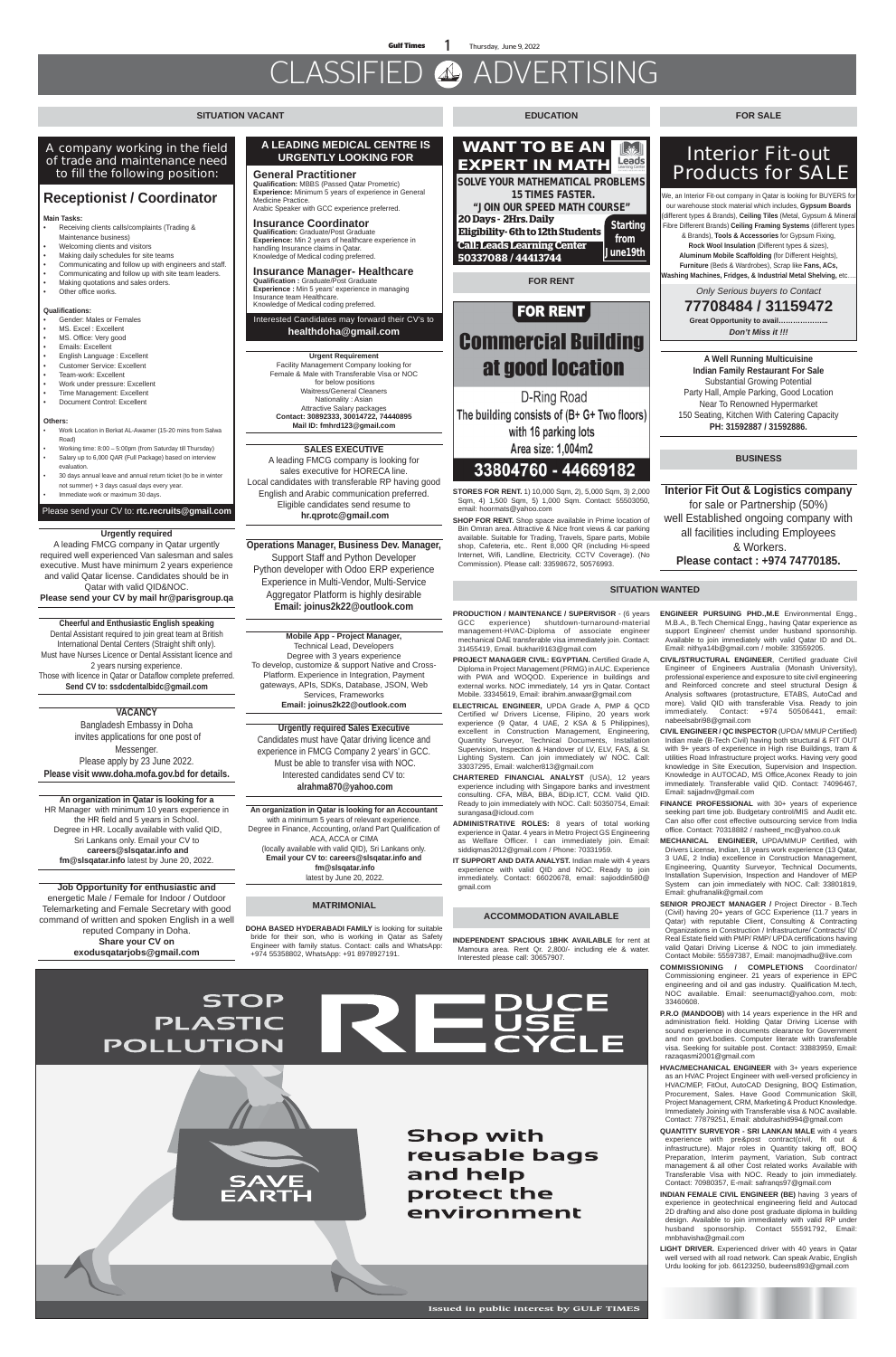**Gulf Times** 1 Thursday, June 9, 2022

# CLASSIFIED ADVERTISING

#### **SITUATION VACANT**

**FOR RENT**

# **FOR RENT Commercial Building** at good location

D-Ring Road The building consists of (B+ G+ Two floors) with 16 parking lots Area size: 1,004m2

### 33804760 - 44669182

#### **SITUATION WANTED**

#### **EDUCATION FOR SALE**

**PRODUCTION / MAINTENANCE / SUPERVISOR** - (6 years GCC experience) shutdown-turnaround-material management-HVAC-Diploma of associate engineer mechanical DAE transferable visa immediately join. Contact: 31455419, Email. bukhari9163@gmail.com

PROJECT MANAGER CIVIL: EGYPTIAN. Certified Grade A, Diploma in Project Management (PRMG) in AUC. Experience with PWA and WOQOD. Experience in buildings and external works. NOC immediately, 14 yrs in Qatar. Contact Mobile. 33345619, Email: ibrahim.anwaar@gmail.com

**IT SUPPORT AND DATA ANALYST.** Indian male with 4 years experience with valid QID and NOC. Ready to join immediately. Contact: 66020678, email: sajioddin580@ gmail.com

**ELECTRICAL ENGINEER,** UPDA Grade A, PMP & QCD Certified w/ Drivers License, Filipino, 20 years work experience (9 Qatar, 4 UAE, 2 KSA & 5 Philippines), excellent in Construction Management, Engineering, Quantity Surveyor, Technical Documents, Installation Supervision, Inspection & Handover of LV, ELV, FAS, & St. Lighting System. Can join immediately w/ NOC. Call: 33037295, Email: walcher813@gmail.com

**CHARTERED FINANCIAL ANALYST** (USA), 12 years experience including with Singapore banks and investment consulting. CFA, MBA, BBA, BDip.ICT, CCM. Valid QID. Ready to join immediately with NOC. Call: 50350754, Email:

surangasa@icloud.com

**ADMINISTRATIVE ROLES:** 8 years of total working experience in Qatar. 4 years in Metro Project GS Engineering as Welfare Officer. I can immediately join. Email: siddiqmas2012@gmail.com / Phone: 70331959.



**A Well Running Multicuisine Indian Family Restaurant For Sale** Substantial Growing Potential Party Hall, Ample Parking, Good Location Near To Renowned Hypermarket 150 Seating, Kitchen With Catering Capacity **PH: 31592887 / 31592886.**

**STORES FOR RENT.** 1) 10,000 Sqm, 2), 5,000 Sqm, 3) 2,000 Sqm, 4) 1,500 Sqm, 5) 1,000 Sqm. Contact: 55503050, email: hoormats@yahoo.com

- Receiving clients calls/complaints (Trading & Maintenance business)
- Welcoming clients and visitors
- Making daily schedules for site teams
- Communicating and follow up with engineers and staff.
- Communicating and follow up with site team leaders.
- Making quotations and sales orders.
- Other office works.

**SHOP FOR RENT.** Shop space available in Prime location of Bin Omran area. Attractive & Nice front views & car parking available. Suitable for Trading, Travels, Spare parts, Mobile shop, Cafeteria, etc.. Rent 8,000 QR (including Hi-speed Internet, Wifi, Landline, Electricity, CCTV Coverage). (No Commission). Please call: 33598672, 50576993.

#### **Urgent Requirement**

Facility Management Company looking for Female & Male with Transferable Visa or NOC for below positions Waitress/General Cleaners Nationality : Asian Attractive Salary packages **Contact: 30892333, 30014722, 74440895 Mail ID: fmhrd123@gmail.com**

## **Interior Fit-out Products for SALE**

We, an Interior Fit-out company in Qatar is looking for BUYERS for our warehouse stock material which includes, **Gypsum Boards** (different types & Brands), **Ceiling Tiles** (Metal, Gypsum & Mineral Fibre Different Brands) **Ceiling Framing Systems** (different types

& Brands), **Tools & Accessories** for Gypsum Fixing, **Rock Wool Insulation** (Different types & sizes), **Aluminum Mobile Scaffolding** (for Different Heights), **Furniture** (Beds & Wardrobes), Scrap like **Fans, ACs, Washing Machines, Fridges, & Industrial Metal Shelving,** etc….

*Only Serious buyers to Contact*

**77708484 / 31159472 Great Opportunity to avail………………...** *Don't Miss it !!!* 

**WANT TO BE AN**  Leads **EXPERT IN MATH SOLVE YOUR MATHEMATICAL PROBLEMS 15 TIMES FASTER. "JOIN OUR SPEED MATH COURSE" 20 Days - 2Hrs. Daily 0 EU Days- 21115. Daily**<br>**Eligibility- 6th to 12th Students Lightling from Call: Leads Learning Center** June 19th  **50337088 / 44413744**

**General Practitioner Qualification:** MBBS (Passed Qatar Prometric) **Experience:** Minimum 5 years of experience in General Medicine Practice. Arabic Speaker with GCC experience preferred.

#### **Insurance Coordinator**

**Qualification:** Graduate/Post Graduate **Experience:** Min 2 years of healthcare experience in handling Insurance claims in Qatar. Knowledge of Medical coding preferred.

#### **Insurance Manager- Healthcare**

**Qualification :** Graduate/Post Graduate **Experience :** Min 5 years' experience in managing Insurance team Healthcare. Knowledge of Medical coding preferred.

#### **A LEADING MEDICAL CENTRE IS URGENTLY LOOKING FOR**

Interested Candidates may forward their CV's to **healthdoha@gmail.com**

#### A company working in the field of trade and maintenance need to fill the following position:

### **Receptionist / Coordinator**

#### **Main Tasks:**

#### **Qualifications:**

- Gender: Males or Females
- MS. Excel : Excellent
- MS. Office: Very good
- Emails: Excellent
- English Language : Excellent • Customer Service: Excellent
- Team-work: Excellent
- Work under pressure: Excellent
- Time Management: Excellent
- Document Control: Excellent

#### **Others:**

- Work Location in Berkat AL-Awamer (15-20 mins from Salwa Road)
- Working time: 8:00 5:00pm (from Saturday till Thursday) • Salary up to 6,000 QAR (Full Package) based on interview evaluation.
- 30 days annual leave and annual return ticket (to be in winter not summer) + 3 days casual days every year.
- Immediate work or maximum 30 days.

#### Please send your CV to: **rtc.recruits@gmail.com**

#### **SALES EXECUTIVE**

A leading FMCG company is looking for sales executive for HORECA line. Local candidates with transferable RP having good English and Arabic communication preferred. Eligible candidates send resume to  **hr.qprotc@gmail.com**

#### **Operations Manager, Business Dev. Manager,**

Support Staff and Python Developer Python developer with Odoo ERP experience Experience in Multi-Vendor, Multi-Service Aggregator Platform is highly desirable **Email: joinus2k22@outlook.com**

**Mobile App - Project Manager,**  Technical Lead, Developers Degree with 3 years experience To develop, customize & support Native and Cross-Platform. Experience in Integration, Payment gateways, APIs, SDKs, Database, JSON, Web Services, Frameworks

**Email: joinus2k22@outlook.com**

#### **Urgently required**

A leading FMCG company in Qatar urgently required well experienced Van salesman and sales executive. Must have minimum 2 years experience and valid Qatar license. Candidates should be in Qatar with valid QID&NOC.

**Please send your CV by mail hr@parisgroup.qa**

#### **Cheerful and Enthusiastic English speaking**

Dental Assistant required to join great team at British International Dental Centers (Straight shift only). Must have Nurses Licence or Dental Assistant licence and 2 years nursing experience. Those with licence in Qatar or Dataflow complete preferred. **Send CV to: ssdcdentalbidc@gmail.com**

#### **VACANCY**

Bangladesh Embassy in Doha invites applications for one post of Messenger. Please apply by 23 June 2022. **Please visit www.doha.mofa.gov.bd for details.**

#### **Urgently required Sales Executive** Candidates must have Qatar driving licence and experience in FMCG Company 2 years' in GCC. Must be able to transfer visa with NOC. Interested candidates send CV to:  **alrahma870@yahoo.com**

#### **An organization in Qatar is looking for an Accountant**

with a minimum 5 years of relevant experience. Degree in Finance, Accounting, or/and Part Qualification of ACA, ACCA or CIMA (locally available with valid QID), Sri Lankans only. **Email your CV to: careers@slsqatar.info and fm@slsqatar.info** latest by June 20, 2022.

**An organization in Qatar is looking for a**  HR Manager with minimum 10 years experience in the HR field and 5 years in School. Degree in HR. Locally available with valid QID, Sri Lankans only. Email your CV to  **careers@slsqatar.info and fm@slsqatar.info** latest by June 20, 2022.

**Job Opportunity for enthusiastic and**  energetic Male / Female for Indoor / Outdoor Telemarketing and Female Secretary with good command of written and spoken English in a well reputed Company in Doha. **Share your CV on exodusqatarjobs@gmail.com**

**ENGINEER PURSUING PHD.,M.E** Environmental Engg., M.B.A., B.Tech Chemical Engg., having Qatar experience as support Engineer/ chemist under husband sponsorship. Available to join immediately with valid Qatar ID and DL. Email: nithya14b@gmail.com / mobile: 33559205.

**CIVIL/STRUCTURAL ENGINEER**, Certified graduate Civil Engineer of Engineers Australia (Monash University), professional experience and exposure to site civil engineering and Reinforced concrete and steel structural Design & Analysis softwares (protastructure, ETABS, AutoCad and more). Valid QID with transferable Visa. Ready to join immediately. Contact: +974 50506441, email: nabeelsabri98@gmail.com

**CIVIL ENGINEER / QC INSPECTOR** (UPDA/ MMUP Certified) Indian male (B-Tech Civil) having both structural & FIT OUT with 9+ years of experience in High rise Buildings, tram & utilities Road Infrastructure project works. Having very good knowledge in Site Execution, Supervision and Inspection. Knowledge in AUTOCAD, MS Office,Aconex Ready to join immediately. Transferable valid QID. Contact: 74096467, Email: sajjadnv@gmail.com

**FINANCE PROFESSIONAL** with 30+ years of experience

seeking part time job. Budgetary control/MIS and Audit etc. Can also offer cost effective outsourcing service from India office. Contact: 70318882 / rasheed\_mc@yahoo.co.uk

**MECHANICAL ENGINEER,** UPDA/MMUP Certified, with Drivers License, Indian, 18 years work experience (13 Qatar, 3 UAE, 2 India) excellence in Construction Management, Engineering, Quantity Surveyor, Technical Documents, Installation Supervision, Inspection and Handover of MEP System can join immediately with NOC. Call: 33801819, Email: ghufranalik@gmail.com

**SENIOR PROJECT MANAGER /** Project Director - B.Tech (Civil) having 20+ years of GCC Experience (11.7 years in Qatar) with reputable Client, Consulting & Contracting Organizations in Construction / Infrastructure/ Contracts/ ID/ Real Estate field with PMP/ RMP/ UPDA certifications having valid Qatari Driving License & NOC to join immediately. Contact Mobile: 55597387, Email: manojmadhu@live.com

**COMMISSIONING / COMPLETIONS** Coordinator/ Commissioning engineer. 21 years of experience in EPC engineering and oil and gas industry. Qualification M.tech, NOC available. Email: seenumact@yahoo.com, mob: 33460608.

- **P.R.O (MANDOOB)** with 14 years experience in the HR and administration field. Holding Qatar Driving License with sound experience in documents clearance for Government and non govt.bodies. Computer literate with transferable visa. Seeking for suitable post. Contact: 33883959, Email: razaqasmi2001@gmail.com
- **HVAC/MECHANICAL ENGINEER** with 3+ years experience as an HVAC Project Engineer with well-versed proficiency in HVAC/MEP, FitOut, AutoCAD Designing, BOQ Estimation, Procurement, Sales. Have Good Communication Skill, Project Management, CRM, Marketing & Product Knowledge. Immediately Joining with Transferable visa & NOC available. Contact: 77879251, Email: abdulrashid994@gmail.com
- **QUANTITY SURVEYOR SRI LANKAN MALE** with 4 years experience with pre&post contract(civil, fit out & infrastructure). Major roles in Quantity taking off, BOQ Preparation, Interim payment, Variation, Sub contract management & all other Cost related works Available with Transferable Visa with NOC. Ready to join immediately. Contact: 70980357, E-mail: safranqs97@gmail.com
- **INDIAN FEMALE CIVIL ENGINEER (BE)** having 3 years of experience in geotechnical engineering field and Autocad 2D drafting and also done post graduate diploma in building design. Available to join immediately with valid RP under husband sponsorship. Contact 55591792, Email: mnbhavisha@gmail.com
- **LIGHT DRIVER.** Experienced driver with 40 years in Qatar well versed with all road network. Can speak Arabic, English Urdu looking for job. 66123250, budeens893@gmail.com

#### **ACCOMMODATION AVAILABLE**

#### **MATRIMONIAL**

**INDEPENDENT SPACIOUS 1BHK AVAILABLE** for rent at Mamoura area. Rent Qr. 2,800/- including ele & water. Interested please call: 30657907.

**STOP PLASTIC POLLUTION** 

> **Shop with** reusable bags and help protect the environment

**DOHA BASED HYDERABADI FAMILY** is looking for suitable bride for their son, who is working in Qatar as Safety Engineer with family status. Contact: calls and WhatsApp: +974 55358802, WhatsApp: +91 8978927191.

**Interior Fit Out & Logistics company** for sale or Partnership (50%) well Established ongoing company with all facilities including Employees & Workers. **Please contact : +974 74770185.**

#### **BUSINESS**